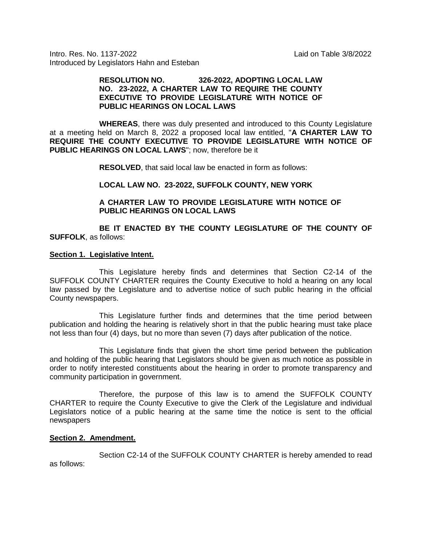Intro. Res. No. 1137-2022 Laid on Table 3/8/2022 Introduced by Legislators Hahn and Esteban

## **RESOLUTION NO. 326-2022, ADOPTING LOCAL LAW NO. 23-2022, A CHARTER LAW TO REQUIRE THE COUNTY EXECUTIVE TO PROVIDE LEGISLATURE WITH NOTICE OF PUBLIC HEARINGS ON LOCAL LAWS**

**WHEREAS**, there was duly presented and introduced to this County Legislature at a meeting held on March 8, 2022 a proposed local law entitled, "**A CHARTER LAW TO REQUIRE THE COUNTY EXECUTIVE TO PROVIDE LEGISLATURE WITH NOTICE OF PUBLIC HEARINGS ON LOCAL LAWS**"; now, therefore be it

**RESOLVED**, that said local law be enacted in form as follows:

# **LOCAL LAW NO. 23-2022, SUFFOLK COUNTY, NEW YORK**

# **A CHARTER LAW TO PROVIDE LEGISLATURE WITH NOTICE OF PUBLIC HEARINGS ON LOCAL LAWS**

**BE IT ENACTED BY THE COUNTY LEGISLATURE OF THE COUNTY OF SUFFOLK**, as follows:

#### **Section 1. Legislative Intent.**

This Legislature hereby finds and determines that Section C2-14 of the SUFFOLK COUNTY CHARTER requires the County Executive to hold a hearing on any local law passed by the Legislature and to advertise notice of such public hearing in the official County newspapers.

This Legislature further finds and determines that the time period between publication and holding the hearing is relatively short in that the public hearing must take place not less than four (4) days, but no more than seven (7) days after publication of the notice.

This Legislature finds that given the short time period between the publication and holding of the public hearing that Legislators should be given as much notice as possible in order to notify interested constituents about the hearing in order to promote transparency and community participation in government.

Therefore, the purpose of this law is to amend the SUFFOLK COUNTY CHARTER to require the County Executive to give the Clerk of the Legislature and individual Legislators notice of a public hearing at the same time the notice is sent to the official newspapers

## **Section 2. Amendment.**

Section C2-14 of the SUFFOLK COUNTY CHARTER is hereby amended to read as follows: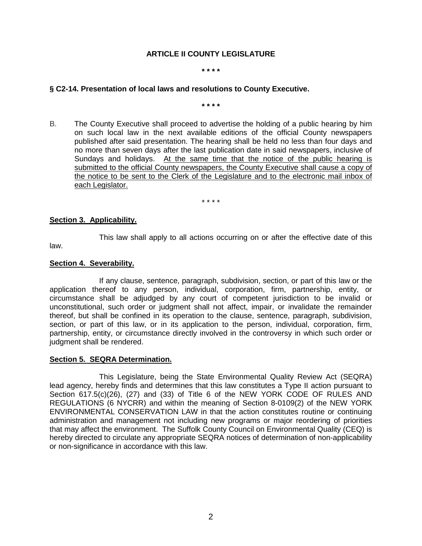# **ARTICLE II COUNTY LEGISLATURE**

#### **\* \* \* \***

## **§ C2-14. Presentation of local laws and resolutions to County Executive.**

**\* \* \* \***

[B.](https://ecode360.com/14938739#14938739) The County Executive shall proceed to advertise the holding of a public hearing by him on such local law in the next available editions of the official County newspapers published after said presentation. The hearing shall be held no less than four days and no more than seven days after the last publication date in said newspapers, inclusive of Sundays and holidays. At the same time that the notice of the public hearing is submitted to the official County newspapers, the County Executive shall cause a copy of the notice to be sent to the Clerk of the Legislature and to the electronic mail inbox of each Legislator.

\* \* \* \*

This law shall apply to all actions occurring on or after the effective date of this

# **Section 3. Applicability.**

law.

# **Section 4. Severability.**

If any clause, sentence, paragraph, subdivision, section, or part of this law or the application thereof to any person, individual, corporation, firm, partnership, entity, or circumstance shall be adjudged by any court of competent jurisdiction to be invalid or unconstitutional, such order or judgment shall not affect, impair, or invalidate the remainder thereof, but shall be confined in its operation to the clause, sentence, paragraph, subdivision, section, or part of this law, or in its application to the person, individual, corporation, firm, partnership, entity, or circumstance directly involved in the controversy in which such order or judgment shall be rendered.

## **Section 5. SEQRA Determination.**

This Legislature, being the State Environmental Quality Review Act (SEQRA) lead agency, hereby finds and determines that this law constitutes a Type II action pursuant to Section 617.5(c)(26), (27) and (33) of Title 6 of the NEW YORK CODE OF RULES AND REGULATIONS (6 NYCRR) and within the meaning of Section 8-0109(2) of the NEW YORK ENVIRONMENTAL CONSERVATION LAW in that the action constitutes routine or continuing administration and management not including new programs or major reordering of priorities that may affect the environment. The Suffolk County Council on Environmental Quality (CEQ) is hereby directed to circulate any appropriate SEQRA notices of determination of non-applicability or non-significance in accordance with this law.